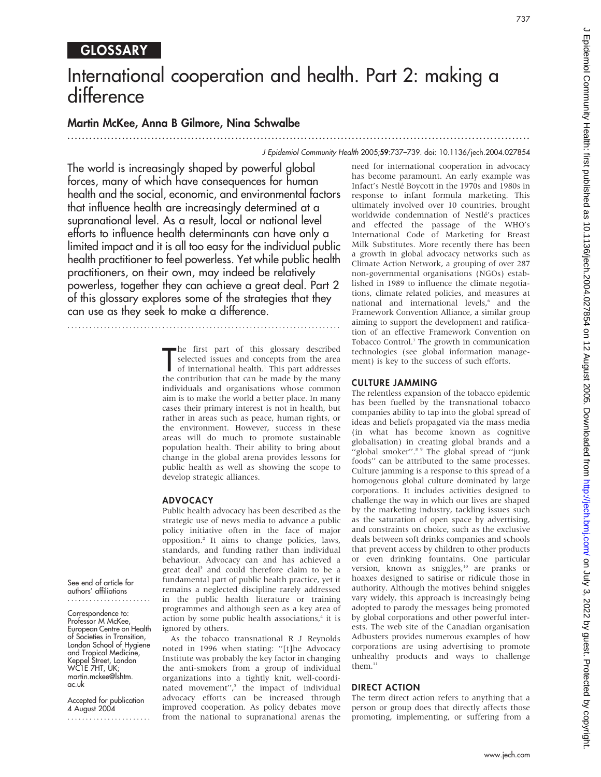## GLOSSARY

# International cooperation and health. Part 2: making a difference

### Martin McKee, Anna B Gilmore, Nina Schwalbe

...............................................................................................................................

#### J Epidemiol Community Health 2005;59:737–739. doi: 10.1136/jech.2004.027854

The world is increasingly shaped by powerful global forces, many of which have consequences for human health and the social, economic, and environmental factors that influence health are increasingly determined at a supranational level. As a result, local or national level efforts to influence health determinants can have only a limited impact and it is all too easy for the individual public health practitioner to feel powerless. Yet while public health practitioners, on their own, may indeed be relatively powerless, together they can achieve a great deal. Part 2 of this glossary explores some of the strategies that they can use as they seek to make a difference.

> The first part of this glossary described<br>selected issues and concepts from the area<br>of international health.<sup>1</sup> This part addresses<br>the contribution that can be made by the many he first part of this glossary described selected issues and concepts from the area of international health.<sup>1</sup> This part addresses individuals and organisations whose common aim is to make the world a better place. In many cases their primary interest is not in health, but rather in areas such as peace, human rights, or the environment. However, success in these areas will do much to promote sustainable population health. Their ability to bring about change in the global arena provides lessons for public health as well as showing the scope to develop strategic alliances.

### ADVOCACY

Public health advocacy has been described as the strategic use of news media to advance a public policy initiative often in the face of major opposition.2 It aims to change policies, laws, standards, and funding rather than individual behaviour. Advocacy can and has achieved a great deal<sup>3</sup> and could therefore claim to be a fundamental part of public health practice, yet it remains a neglected discipline rarely addressed in the public health literature or training programmes and although seen as a key area of action by some public health associations, $4$  it is ignored by others.

As the tobacco transnational R J Reynolds noted in 1996 when stating: ''[t]he Advocacy Institute was probably the key factor in changing the anti-smokers from a group of individual organizations into a tightly knit, well-coordinated movement",<sup>5</sup> the impact of individual advocacy efforts can be increased through improved cooperation. As policy debates move from the national to supranational arenas the

need for international cooperation in advocacy has become paramount. An early example was Infact's Nestle´ Boycott in the 1970s and 1980s in response to infant formula marketing. This ultimately involved over 10 countries, brought worldwide condemnation of Nestle´'s practices and effected the passage of the WHO's International Code of Marketing for Breast Milk Substitutes. More recently there has been a growth in global advocacy networks such as Climate Action Network, a grouping of over 287 non-governmental organisations (NGOs) established in 1989 to influence the climate negotiations, climate related policies, and measures at national and international levels,<sup>6</sup> and the Framework Convention Alliance, a similar group aiming to support the development and ratification of an effective Framework Convention on Tobacco Control.7 The growth in communication technologies (see global information management) is key to the success of such efforts.

### CULTURE JAMMING

The relentless expansion of the tobacco epidemic has been fuelled by the transnational tobacco companies ability to tap into the global spread of ideas and beliefs propagated via the mass media (in what has become known as cognitive globalisation) in creating global brands and a "global smoker".<sup>8</sup> <sup>9</sup> The global spread of "junk foods'' can be attributed to the same processes. Culture jamming is a response to this spread of a homogenous global culture dominated by large corporations. It includes activities designed to challenge the way in which our lives are shaped by the marketing industry, tackling issues such as the saturation of open space by advertising, and constraints on choice, such as the exclusive deals between soft drinks companies and schools that prevent access by children to other products or even drinking fountains. One particular version, known as sniggles,<sup>10</sup> are pranks or hoaxes designed to satirise or ridicule those in authority. Although the motives behind sniggles vary widely, this approach is increasingly being adopted to parody the messages being promoted by global corporations and other powerful interests. The web site of the Canadian organisation Adbusters provides numerous examples of how corporations are using advertising to promote unhealthy products and ways to challenge them.<sup>11</sup>

### DIRECT ACTION

The term direct action refers to anything that a person or group does that directly affects those promoting, implementing, or suffering from a

See end of article for authors' affiliations .......................

Correspondence to: Professor M McKee, European Centre on Health of Societies in Transition, London School of Hygiene and Tropical Medicine, Keppel Street, London WC1E 7HT, UK; martin.mckee@lshtm. ac.uk

Accepted for publication 4 August 2004 .......................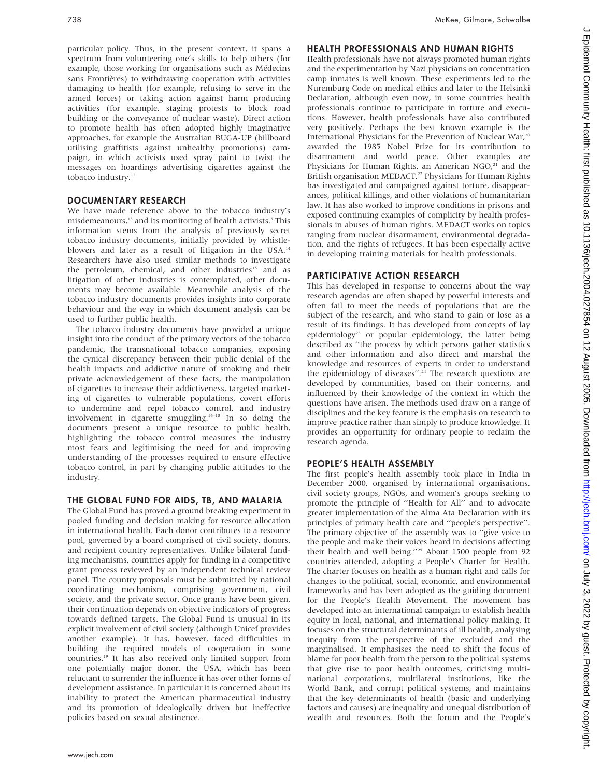particular policy. Thus, in the present context, it spans a spectrum from volunteering one's skills to help others (for example, those working for organisations such as Médecins sans Frontières) to withdrawing cooperation with activities damaging to health (for example, refusing to serve in the armed forces) or taking action against harm producing activities (for example, staging protests to block road building or the conveyance of nuclear waste). Direct action to promote health has often adopted highly imaginative approaches, for example the Australian BUGA-UP (billboard utilising graffitists against unhealthy promotions) campaign, in which activists used spray paint to twist the messages on hoardings advertising cigarettes against the tobacco industry.<sup>12</sup>

### DOCUMENTARY RESEARCH

We have made reference above to the tobacco industry's misdemeanours,<sup>13</sup> and its monitoring of health activists.<sup>5</sup> This information stems from the analysis of previously secret tobacco industry documents, initially provided by whistleblowers and later as a result of litigation in the USA.<sup>14</sup> Researchers have also used similar methods to investigate the petroleum, chemical, and other industries<sup>15</sup> and as litigation of other industries is contemplated, other documents may become available. Meanwhile analysis of the tobacco industry documents provides insights into corporate behaviour and the way in which document analysis can be used to further public health.

The tobacco industry documents have provided a unique insight into the conduct of the primary vectors of the tobacco pandemic, the transnational tobacco companies, exposing the cynical discrepancy between their public denial of the health impacts and addictive nature of smoking and their private acknowledgement of these facts, the manipulation of cigarettes to increase their addictiveness, targeted marketing of cigarettes to vulnerable populations, covert efforts to undermine and repel tobacco control, and industry involvement in cigarette smuggling.16–18 In so doing the documents present a unique resource to public health, highlighting the tobacco control measures the industry most fears and legitimising the need for and improving understanding of the processes required to ensure effective tobacco control, in part by changing public attitudes to the industry.

### THE GLOBAL FUND FOR AIDS, TB, AND MALARIA

The Global Fund has proved a ground breaking experiment in pooled funding and decision making for resource allocation in international health. Each donor contributes to a resource pool, governed by a board comprised of civil society, donors, and recipient country representatives. Unlike bilateral funding mechanisms, countries apply for funding in a competitive grant process reviewed by an independent technical review panel. The country proposals must be submitted by national coordinating mechanism, comprising government, civil society, and the private sector. Once grants have been given, their continuation depends on objective indicators of progress towards defined targets. The Global Fund is unusual in its explicit involvement of civil society (although Unicef provides another example). It has, however, faced difficulties in building the required models of cooperation in some countries.19 It has also received only limited support from one potentially major donor, the USA, which has been reluctant to surrender the influence it has over other forms of development assistance. In particular it is concerned about its inability to protect the American pharmaceutical industry and its promotion of ideologically driven but ineffective policies based on sexual abstinence.

### HEALTH PROFESSIONALS AND HUMAN RIGHTS

Health professionals have not always promoted human rights and the experimentation by Nazi physicians on concentration camp inmates is well known. These experiments led to the Nuremburg Code on medical ethics and later to the Helsinki Declaration, although even now, in some countries health professionals continue to participate in torture and executions. However, health professionals have also contributed very positively. Perhaps the best known example is the International Physicians for the Prevention of Nuclear War,<sup>20</sup> awarded the 1985 Nobel Prize for its contribution to disarmament and world peace. Other examples are Physicians for Human Rights, an American NGO,<sup>21</sup> and the British organisation MEDACT.<sup>22</sup> Physicians for Human Rights has investigated and campaigned against torture, disappearances, political killings, and other violations of humanitarian law. It has also worked to improve conditions in prisons and exposed continuing examples of complicity by health professionals in abuses of human rights. MEDACT works on topics ranging from nuclear disarmament, environmental degradation, and the rights of refugees. It has been especially active in developing training materials for health professionals.

### PARTICIPATIVE ACTION RESEARCH

This has developed in response to concerns about the way research agendas are often shaped by powerful interests and often fail to meet the needs of populations that are the subject of the research, and who stand to gain or lose as a result of its findings. It has developed from concepts of lay epidemiology<sup>23</sup> or popular epidemiology, the latter being described as ''the process by which persons gather statistics and other information and also direct and marshal the knowledge and resources of experts in order to understand the epidemiology of diseases".<sup>24</sup> The research questions are developed by communities, based on their concerns, and influenced by their knowledge of the context in which the questions have arisen. The methods used draw on a range of disciplines and the key feature is the emphasis on research to improve practice rather than simply to produce knowledge. It provides an opportunity for ordinary people to reclaim the research agenda.

### PEOPLE'S HEALTH ASSEMBLY

The first people's health assembly took place in India in December 2000, organised by international organisations, civil society groups, NGOs, and women's groups seeking to promote the principle of ''Health for All'' and to advocate greater implementation of the Alma Ata Declaration with its principles of primary health care and ''people's perspective''. The primary objective of the assembly was to ''give voice to the people and make their voices heard in decisions affecting their health and well being.''25 About 1500 people from 92 countries attended, adopting a People's Charter for Health. The charter focuses on health as a human right and calls for changes to the political, social, economic, and environmental frameworks and has been adopted as the guiding document for the People's Health Movement. The movement has developed into an international campaign to establish health equity in local, national, and international policy making. It focuses on the structural determinants of ill health, analysing inequity from the perspective of the excluded and the marginalised. It emphasises the need to shift the focus of blame for poor health from the person to the political systems that give rise to poor health outcomes, criticising multinational corporations, multilateral institutions, like the World Bank, and corrupt political systems, and maintains that the key determinants of health (basic and underlying factors and causes) are inequality and unequal distribution of wealth and resources. Both the forum and the People's